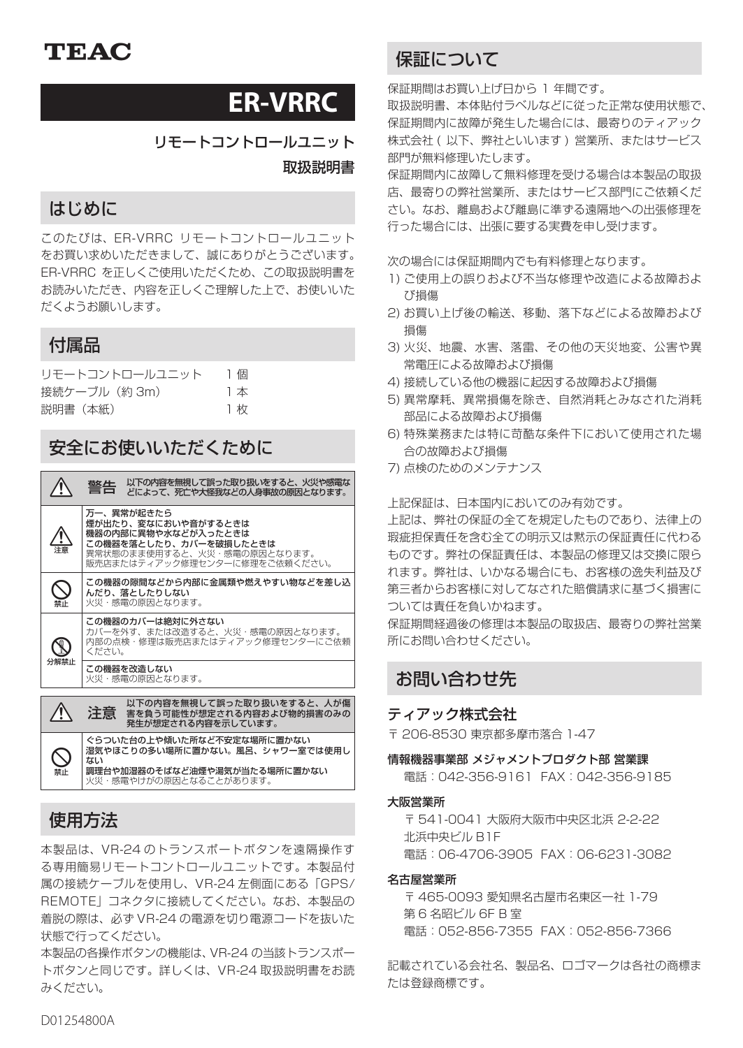# **ER-VRRC**

リモートコントロールユニット

取扱説明書

# はじめに

このたびは、ER-VRRC リモートコントロールユニット をお買い求めいただきまして、誠にありがとうございます。 ER-VRRC を正しくご使用いただくため、この取扱説明書を お読みいただき、内容を正しくご理解した上で、お使いいた だくようお願いします。

# 付属品

| リモートコントロールユニット | 1個 |
|----------------|----|
| 接続ケーブル(約 3m)   | 1本 |
| 説明書(本紙)        | 1枚 |

# 安全にお使いいただくために

|                                                                                                                                                    | 以下の内容を無視して誤った取り扱いをすると、火災や感雷な<br>警告<br>どによって、死亡や大怪我などの人身事故の原因となります。                            |
|----------------------------------------------------------------------------------------------------------------------------------------------------|-----------------------------------------------------------------------------------------------|
| 万一、異常が起きたら<br>煙が出たり、変なにおいや音がするときは<br>機器の内部に異物や水などが入ったときは<br>この機器を落としたり、カバーを破損したときは<br>異常状態のまま使用すると、火災・感電の原因となります。<br>販売店またはティアック修理ヤンターに修理をご依頼ください。 |                                                                                               |
| 禁止                                                                                                                                                 | この機器の隙間などから内部に金属類や燃えやすい物などを差し込<br>んだり、落としたりしない<br>火災・感電の原因となります。                              |
|                                                                                                                                                    | この機器のカバーは絶対に外さない<br>カバーを外す、または改造すると、火災・感電の原因となります。<br>内部の点検・修理は販売店またはティアック修理センターにご依頼<br>ください。 |
| 分解禁止                                                                                                                                               | この機器を改造しない<br>火災・感電の原因となります。                                                                  |
|                                                                                                                                                    | 以下の内容を無視して誤った取り扱いをすると、人が傷<br>注意<br>害を負う可能性が想定される内容および物的損害のみの<br>発生が想定される内容を示しています。            |

ぐらついた台の上や傾いた所など不安定な場所に置かない 湿気やほこりの多い場所に置かない。風呂、シャワー室では使用し ない **調理台や加湿器のそばなど油煙や湯気が当たる場所に置かない**<br>火災・感電やけがの原因となることがあります。

# 使用方法

 $\bigotimes_{\genfrac{}{}{0pt}{}{\ast\hskip-0.75pt{\times}}{ \genfrac{}{}{0pt}{}{\ast\hskip-0.75pt{\times}}{ \genfrac{}{}{0pt}{}{\ast\hskip-0.75pt{\times}}{ \genfrac{}{}{0pt}{}{\ast\hskip-0.75pt{\times}}{ \genfrac{}{}{0pt}{}{\ast\hskip-0.75pt{\times}}{ \genfrac{}{}{0pt}{}{\ast\hskip-0.75pt{\times}}{ \genfrac{}{}{0pt}{}{\ast\hskip-0.75pt{\times}}{ \genfrac{}{}{0pt}{}{\ast\hskip-0.75pt{\times}}{ \genfrac{}{}{0pt}{}{\ast\hskip$ 

本製品は、VR-24 のトランスポートボタンを遠隔操作す る専用簡易リモートコントロールユニットです。本製品付 属の接続ケーブルを使用し、VR-24 左側面にある「GPS/ REMOTE」コネクタに接続してください。なお、本製品の 着脱の際は、必ず VR-24 の電源を切り電源コードを抜いた 状態で行ってください。

本製品の各操作ボタンの機能は、VR-24 の当該トランスポー トボタンと同じです。詳しくは、VR-24 取扱説明書をお読 みください。

# 保証について

保証期間はお買い上げ日から 1 年間です。

取扱説明書、本体貼付ラベルなどに従った正常な使用状態で、 保証期間内に故障が発生した場合には、最寄りのティアック 株式会社 ( 以下、弊社といいます ) 営業所、またはサービス 部門が無料修理いたします。

保証期間内に故障して無料修理を受ける場合は本製品の取扱 店、最寄りの弊社営業所、またはサービス部門にご依頼くだ さい。なお、離島および離島に準ずる遠隔地への出張修理を 行った場合には、出張に要する実費を申し受けます。

次の場合には保証期間内でも有料修理となります。

- 1) ご使用上の誤りおよび不当な修理や改造による故障およ び損傷
- 2) お買い上げ後の輸送、移動、落下などによる故障および 損傷
- 3) 火災、地震、水害、落雷、その他の天災地変、公害や異 常電圧による故障および損傷
- 4) 接続している他の機器に起因する故障および損傷
- 5) 異常摩耗、異常損傷を除き、自然消耗とみなされた消耗 部品による故障および損傷
- 6) 特殊業務または特に苛酷な条件下において使用された場 合の故障および損傷
- 7) 点検のためのメンテナンス

上記保証は、日本国内においてのみ有効です。

上記は、弊社の保証の全てを規定したものであり、法律上の 瑕疵担保責任を含む全ての明示又は黙示の保証責任に代わる ものです。弊社の保証責任は、本製品の修理又は交換に限ら れます。弊社は、いかなる場合にも、お客様の逸失利益及び 第三者からお客様に対してなされた賠償請求に基づく損害に ついては責任を負いかねます。

保証期間経過後の修理は本製品の取扱店、最寄りの弊社営業 所にお問い合わせください。

# お問い合わせ先

## ティアック株式会社

〒 206-8530 東京都多摩市落合 1-47

情報機器事業部 メジャメントプロダクト部 営業課

電話:042-356-9161 FAX:042-356-9185

#### 大阪営業所

〒 541-0041 大阪府大阪市中央区北浜 2-2-22 北浜中央ビル B1F 電話:06-4706-3905 FAX:06-6231-3082

### 名古屋営業所

〒 465-0093 愛知県名古屋市名東区一社 1-79 第 6 名昭ビル 6F B 室 電話:052-856-7355 FAX:052-856-7366

記載されている会社名、製品名、ロゴマークは各社の商標ま たは登録商標です。